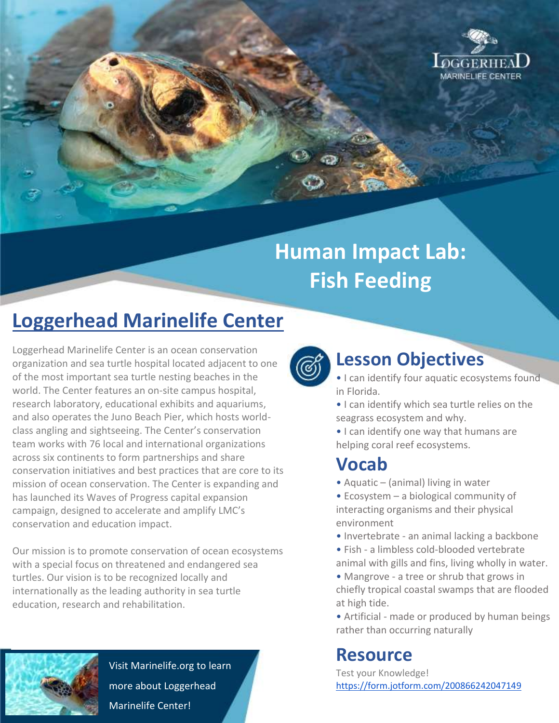

# **Human Impact Lab: Fish Feeding**

## **Loggerhead Marinelife Center**

Loggerhead Marinelife Center is an ocean conservation organization and sea turtle hospital located adjacent to one of the most important sea turtle nesting beaches in the world. The Center features an on-site campus hospital, research laboratory, educational exhibits and aquariums, and also operates the Juno Beach Pier, which hosts worldclass angling and sightseeing. The Center's conservation team works with 76 local and international organizations across six continents to form partnerships and share conservation initiatives and best practices that are core to its mission of ocean conservation. The Center is expanding and has launched its Waves of Progress capital expansion campaign, designed to accelerate and amplify LMC's conservation and education impact.

Our mission is to promote conservation of ocean ecosystems with a special focus on threatened and endangered sea turtles. Our vision is to be recognized locally and internationally as the leading authority in sea turtle education, research and rehabilitation.



Visit Marinelife.org to learn more about Loggerhead Marinelife Center!



#### **Lesson Objectives**

- I can identify four aquatic ecosystems found in Florida.
- I can identify which sea turtle relies on the seagrass ecosystem and why.
- I can identify one way that humans are helping coral reef ecosystems.

### **Vocab**

- Aquatic (animal) living in water
- Ecosystem a biological community of interacting organisms and their physical environment
- Invertebrate an animal lacking a backbone
- Fish a limbless cold-blooded vertebrate animal with gills and fins, living wholly in water.
- Mangrove a tree or shrub that grows in chiefly tropical coastal swamps that are flooded at high tide.
- Artificial made or produced by human beings rather than occurring naturally

#### **Resource**

Test your Knowledge! <https://form.jotform.com/200866242047149>